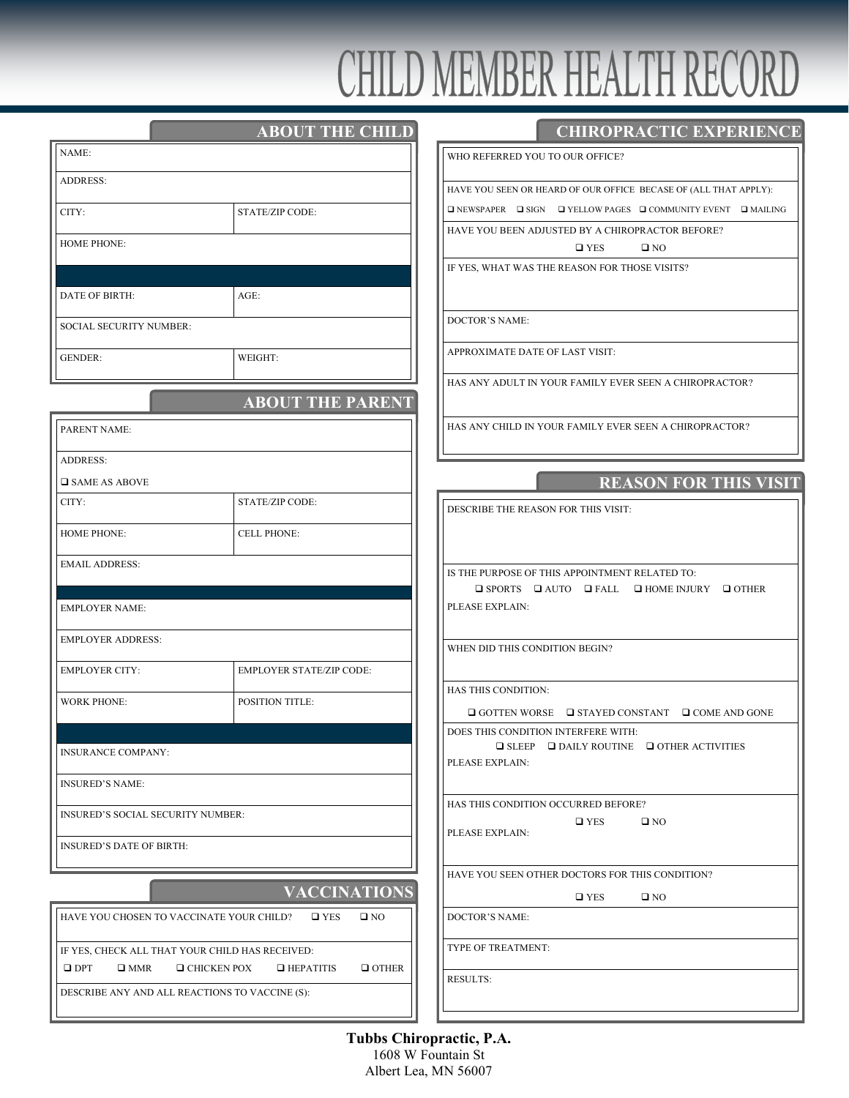## CHILD MEMBER HEALTH RECORD

|                                                 | <b>ABOUT THE CHILD</b>                                 | <b>CHIROPRACTIC EXPERIENCE</b>                                                         |  |
|-------------------------------------------------|--------------------------------------------------------|----------------------------------------------------------------------------------------|--|
| NAME:                                           |                                                        | WHO REFERRED YOU TO OUR OFFICE?                                                        |  |
| <b>ADDRESS:</b>                                 |                                                        | HAVE YOU SEEN OR HEARD OF OUR OFFICE BECASE OF (ALL THAT APPLY):                       |  |
| CITY:                                           | <b>STATE/ZIP CODE:</b>                                 | $\Box$ NEWSPAPER $\Box$ SIGN $\Box$ YELLOW PAGES $\Box$ COMMUNITY EVENT $\Box$ MAILING |  |
|                                                 |                                                        | HAVE YOU BEEN ADJUSTED BY A CHIROPRACTOR BEFORE?                                       |  |
| <b>HOME PHONE:</b>                              |                                                        | $\square$ YES<br>$\square$ NO                                                          |  |
|                                                 |                                                        | IF YES, WHAT WAS THE REASON FOR THOSE VISITS?                                          |  |
| DATE OF BIRTH:                                  | AGE:                                                   |                                                                                        |  |
| <b>SOCIAL SECURITY NUMBER:</b>                  |                                                        | <b>DOCTOR'S NAME:</b>                                                                  |  |
| <b>GENDER:</b><br>WEIGHT:                       |                                                        | APPROXIMATE DATE OF LAST VISIT:                                                        |  |
|                                                 |                                                        | HAS ANY ADULT IN YOUR FAMILY EVER SEEN A CHIROPRACTOR?                                 |  |
|                                                 | <b>ABOUT THE PARENT</b>                                |                                                                                        |  |
| PARENT NAME:                                    |                                                        | HAS ANY CHILD IN YOUR FAMILY EVER SEEN A CHIROPRACTOR?                                 |  |
| <b>ADDRESS:</b>                                 |                                                        |                                                                                        |  |
| <b>O</b> SAME AS ABOVE                          |                                                        | <b>REASON FOR THIS VISIT</b>                                                           |  |
| CITY:                                           | STATE/ZIP CODE:                                        | DESCRIBE THE REASON FOR THIS VISIT:                                                    |  |
| <b>HOME PHONE:</b>                              | <b>CELL PHONE:</b>                                     |                                                                                        |  |
| <b>EMAIL ADDRESS:</b>                           |                                                        | IS THE PURPOSE OF THIS APPOINTMENT RELATED TO:                                         |  |
|                                                 |                                                        | $\Box$ SPORTS $\Box$ AUTO $\Box$ FALL $\Box$ HOME INJURY $\Box$ OTHER                  |  |
| <b>EMPLOYER NAME:</b>                           |                                                        | PLEASE EXPLAIN:                                                                        |  |
| <b>EMPLOYER ADDRESS:</b>                        |                                                        |                                                                                        |  |
|                                                 |                                                        | WHEN DID THIS CONDITION BEGIN?                                                         |  |
| <b>EMPLOYER CITY:</b>                           | <b>EMPLOYER STATE/ZIP CODE:</b>                        |                                                                                        |  |
| <b>WORK PHONE:</b>                              | POSITION TITLE:                                        | HAS THIS CONDITION:                                                                    |  |
|                                                 |                                                        | $\Box$ GOTTEN WORSE $\Box$ STAYED CONSTANT $\Box$ COME AND GONE                        |  |
|                                                 |                                                        | DOES THIS CONDITION INTERFERE WITH:                                                    |  |
| <b>INSURANCE COMPANY:</b>                       |                                                        | $\Box$ SLEEP $\Box$ DAILY ROUTINE $\Box$ OTHER ACTIVITIES<br>PLEASE EXPLAIN:           |  |
| <b>INSURED'S NAME:</b>                          |                                                        |                                                                                        |  |
|                                                 |                                                        | HAS THIS CONDITION OCCURRED BEFORE?                                                    |  |
| INSURED'S SOCIAL SECURITY NUMBER:               |                                                        | $\square$ YES<br>$\square$ NO                                                          |  |
| <b>INSURED'S DATE OF BIRTH:</b>                 |                                                        | PLEASE EXPLAIN:                                                                        |  |
|                                                 |                                                        | HAVE YOU SEEN OTHER DOCTORS FOR THIS CONDITION?                                        |  |
|                                                 | <b>VACCINATIONS</b>                                    | $\square$ YES<br>$\square$ NO                                                          |  |
| HAVE YOU CHOSEN TO VACCINATE YOUR CHILD?        | $\square$ NO<br>$\square$ YES                          | <b>DOCTOR'S NAME:</b>                                                                  |  |
| IF YES, CHECK ALL THAT YOUR CHILD HAS RECEIVED: |                                                        | TYPE OF TREATMENT:                                                                     |  |
| $\square$ DPT<br>$\square$ MMR                  | $\Box$ CHICKEN POX<br>$\Box$ HEPATITIS<br>$\Box$ OTHER | <b>RESULTS:</b>                                                                        |  |
| DESCRIBE ANY AND ALL REACTIONS TO VACCINE (S):  |                                                        |                                                                                        |  |
|                                                 |                                                        |                                                                                        |  |

**Tubbs Chiropractic, P.A.** 1608 W Fountain St Albert Lea, MN 56007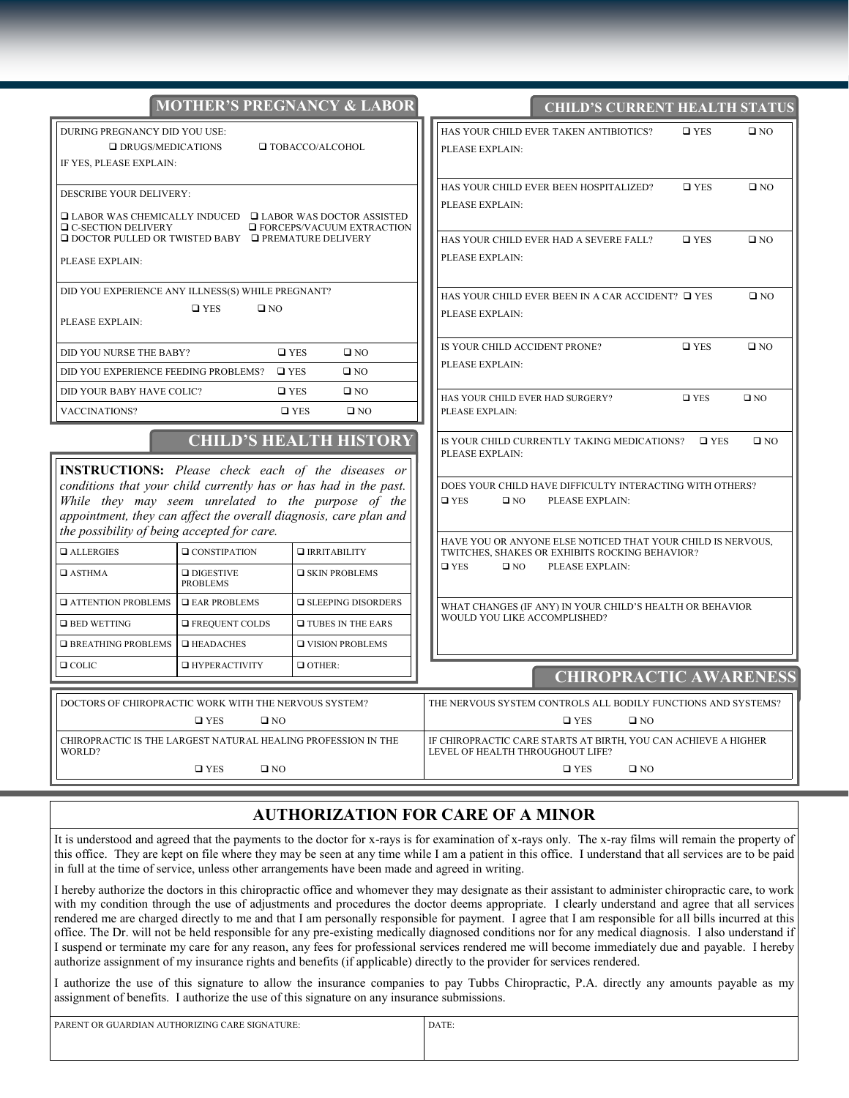|                                                                                                                                                                                                                                                         |                                     | <b>MOTHER'S PREGNANCY &amp; LABOR</b>                                                      | <b>CHILD'S CURRENT HEALTH STATUS</b>                                                                                                                                                                            |  |  |
|---------------------------------------------------------------------------------------------------------------------------------------------------------------------------------------------------------------------------------------------------------|-------------------------------------|--------------------------------------------------------------------------------------------|-----------------------------------------------------------------------------------------------------------------------------------------------------------------------------------------------------------------|--|--|
| DURING PREGNANCY DID YOU USE:<br>$\Box$ DRUGS/MEDICATIONS<br>$\Box$ TOBACCO/ALCOHOL<br>IF YES, PLEASE EXPLAIN:                                                                                                                                          |                                     |                                                                                            | HAS YOUR CHILD EVER TAKEN ANTIBIOTICS?<br>$\square$ YES<br>$\square$ NO<br>PLEASE EXPLAIN:                                                                                                                      |  |  |
| DESCRIBE YOUR DELIVERY:<br>$\Box$ LABOR WAS CHEMICALLY INDUCED $\Box$ LABOR WAS DOCTOR ASSISTED<br>$\Box$ C-SECTION DELIVERY<br><b>O FORCEPS/VACUUM EXTRACTION</b><br>$\Box$ DOCTOR PULLED OR TWISTED BABY $\Box$ PREMATURE DELIVERY<br>PLEASE EXPLAIN: |                                     |                                                                                            | HAS YOUR CHILD EVER BEEN HOSPITALIZED?<br>$\square$ YES<br>$\square$ NO<br>PLEASE EXPLAIN:                                                                                                                      |  |  |
|                                                                                                                                                                                                                                                         |                                     |                                                                                            | HAS YOUR CHILD EVER HAD A SEVERE FALL?<br>$\square$ YES<br>$\square$ NO<br>PLEASE EXPLAIN:                                                                                                                      |  |  |
| DID YOU EXPERIENCE ANY ILLNESS(S) WHILE PREGNANT?<br>$\square$ YES<br>$\square$ NO<br>PLEASE EXPLAIN:                                                                                                                                                   |                                     |                                                                                            | HAS YOUR CHILD EVER BEEN IN A CAR ACCIDENT? □ YES<br>$\square$ NO<br>PLEASE EXPLAIN:                                                                                                                            |  |  |
| $\square$ YES<br>DID YOU NURSE THE BABY?<br>$\square$ NO<br>DID YOU EXPERIENCE FEEDING PROBLEMS?<br>$\square$ YES<br>$\square$ NO                                                                                                                       |                                     |                                                                                            | IS YOUR CHILD ACCIDENT PRONE?<br>$\square$ YES<br>$\square$ NO<br>PLEASE EXPLAIN:                                                                                                                               |  |  |
| DID YOUR BABY HAVE COLIC?<br>$\square$ YES<br>$\square$ NO<br>$\square$ YES<br>$\square$ NO<br>VACCINATIONS?                                                                                                                                            |                                     |                                                                                            | HAS YOUR CHILD EVER HAD SURGERY?<br>$\square$ YES<br>$\square$ NO<br>PLEASE EXPLAIN:                                                                                                                            |  |  |
| conditions that your child currently has or has had in the past.<br>While they may seem unrelated to the purpose of the<br>appointment, they can affect the overall diagnosis, care plan and<br>the possibility of being accepted for care.             |                                     | <b>CHILD'S HEALTH HISTORY</b><br><b>INSTRUCTIONS:</b> Please check each of the diseases or | IS YOUR CHILD CURRENTLY TAKING MEDICATIONS?<br>$\square$ YES<br>$\square$ NO<br>PLEASE EXPLAIN:<br>DOES YOUR CHILD HAVE DIFFICULTY INTERACTING WITH OTHERS?<br>$\square$ YES<br>$\square$ NO<br>PLEASE EXPLAIN: |  |  |
| $\Box$ ALLERGIES                                                                                                                                                                                                                                        | $\Box$ CONSTIPATION                 | $\Box$ IRRITABILITY                                                                        | HAVE YOU OR ANYONE ELSE NOTICED THAT YOUR CHILD IS NERVOUS,<br>TWITCHES, SHAKES OR EXHIBITS ROCKING BEHAVIOR?                                                                                                   |  |  |
| $\Box$ ASTHMA                                                                                                                                                                                                                                           | $\Box$ DIGESTIVE<br><b>PROBLEMS</b> | $\square$ SKIN PROBLEMS                                                                    | $\square$ YES<br>$\square$ NO<br>PLEASE EXPLAIN:                                                                                                                                                                |  |  |
| <b>Q ATTENTION PROBLEMS</b>                                                                                                                                                                                                                             | $\square$ EAR PROBLEMS              | $\square$ SLEEPING DISORDERS                                                               | WHAT CHANGES (IF ANY) IN YOUR CHILD'S HEALTH OR BEHAVIOR                                                                                                                                                        |  |  |
| $\Box$ BED WETTING                                                                                                                                                                                                                                      | <b>EXECUENT COLDS</b>               | $\Box$ TUBES IN THE EARS                                                                   | WOULD YOU LIKE ACCOMPLISHED?                                                                                                                                                                                    |  |  |
| <b>E BREATHING PROBLEMS</b>                                                                                                                                                                                                                             | $□$ HEADACHES                       | <b>U VISION PROBLEMS</b>                                                                   |                                                                                                                                                                                                                 |  |  |
| $\Box$ COLIC                                                                                                                                                                                                                                            | <b>INPERACTIVITY</b>                | $\Box$ OTHER:                                                                              | <b>CHIROPRACTIC AWARENESS</b>                                                                                                                                                                                   |  |  |
| DOCTORS OF CHIROPRACTIC WORK WITH THE NERVOUS SYSTEM?<br>CHIROPRACTIC IS THE LARGEST NATURAL HEALING PROFESSION IN THE                                                                                                                                  | $\square$ YES<br>$\square$ NO       |                                                                                            | THE NERVOUS SYSTEM CONTROLS ALL BODILY FUNCTIONS AND SYSTEMS?<br>$\square$ YES<br>$\square$ NO<br>IF CHIROPRACTIC CARE STARTS AT BIRTH, YOU CAN ACHIEVE A HIGHER                                                |  |  |
| WORLD?<br>$\square$ YES<br>$\square$ NO                                                                                                                                                                                                                 |                                     |                                                                                            | LEVEL OF HEALTH THROUGHOUT LIFE?<br>$\square$ YES<br>$\square$ NO                                                                                                                                               |  |  |

## **AUTHORIZATION FOR CARE OF A MINOR**

It is understood and agreed that the payments to the doctor for x-rays is for examination of x-rays only. The x-ray films will remain the property of this office. They are kept on file where they may be seen at any time while I am a patient in this office. I understand that all services are to be paid in full at the time of service, unless other arrangements have been made and agreed in writing.

I hereby authorize the doctors in this chiropractic office and whomever they may designate as their assistant to administer chiropractic care, to work with my condition through the use of adjustments and procedures the doctor deems appropriate. I clearly understand and agree that all services rendered me are charged directly to me and that I am personally responsible for payment. I agree that I am responsible for all bills incurred at this office. The Dr. will not be held responsible for any pre-existing medically diagnosed conditions nor for any medical diagnosis. I also understand if I suspend or terminate my care for any reason, any fees for professional services rendered me will become immediately due and payable. I hereby authorize assignment of my insurance rights and benefits (if applicable) directly to the provider for services rendered.

I authorize the use of this signature to allow the insurance companies to pay Tubbs Chiropractic, P.A. directly any amounts payable as my assignment of benefits. I authorize the use of this signature on any insurance submissions.

PARENT OR GUARDIAN AUTHORIZING CARE SIGNATURE: DATE: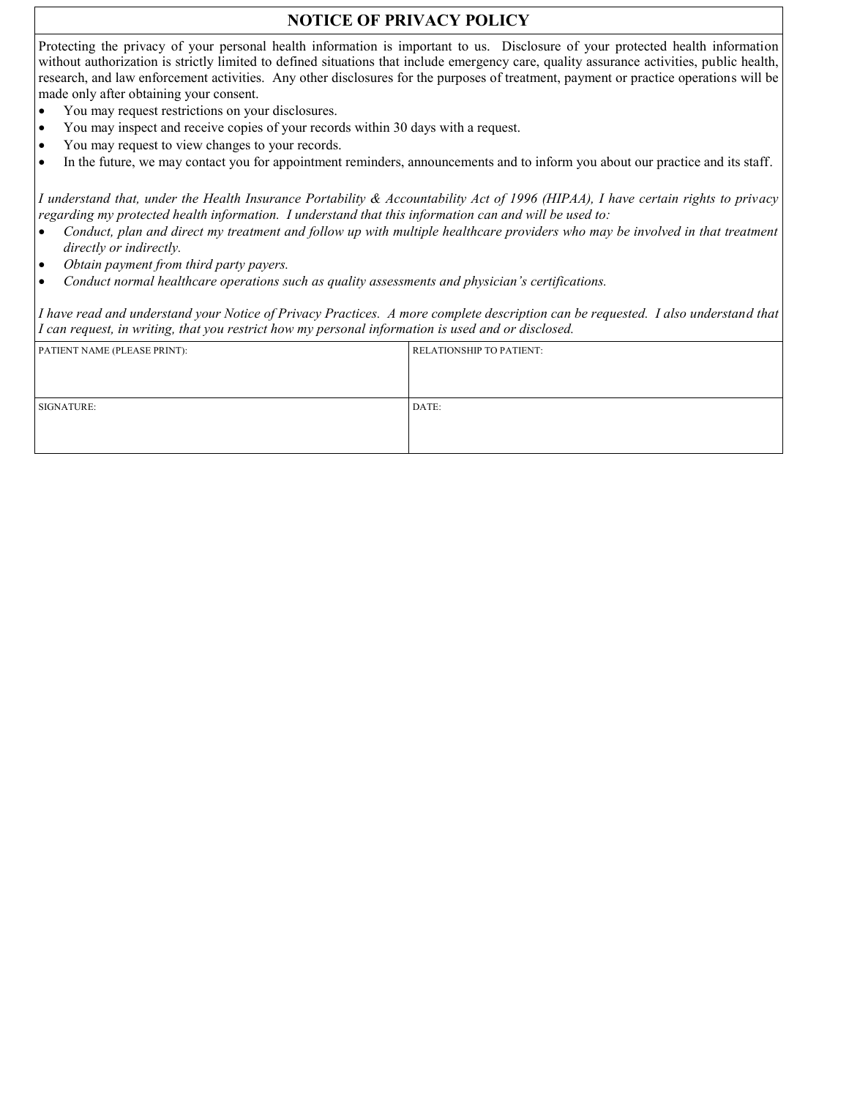## **NOTICE OF PRIVACY POLICY**

Protecting the privacy of your personal health information is important to us. Disclosure of your protected health information without authorization is strictly limited to defined situations that include emergency care, quality assurance activities, public health, research, and law enforcement activities. Any other disclosures for the purposes of treatment, payment or practice operations will be made only after obtaining your consent.

- You may request restrictions on your disclosures.
- You may inspect and receive copies of your records within 30 days with a request.
- You may request to view changes to your records.
- In the future, we may contact you for appointment reminders, announcements and to inform you about our practice and its staff.

*I understand that, under the Health Insurance Portability & Accountability Act of 1996 (HIPAA), I have certain rights to privacy regarding my protected health information. I understand that this information can and will be used to:*

- Conduct, plan and direct my treatment and follow up with multiple healthcare providers who may be involved in that treatment *directly or indirectly.*
- *Obtain payment from third party payers.*
- *Conduct normal healthcare operations such as quality assessments and physician's certifications.*

*I have read and understand your Notice of Privacy Practices. A more complete description can be requested. I also understand that I can request, in writing, that you restrict how my personal information is used and or disclosed.* 

| PATIENT NAME (PLEASE PRINT): | <b>RELATIONSHIP TO PATIENT:</b> |  |
|------------------------------|---------------------------------|--|
|                              |                                 |  |
|                              |                                 |  |
| SIGNATURE:                   | DATE:                           |  |
|                              |                                 |  |
|                              |                                 |  |